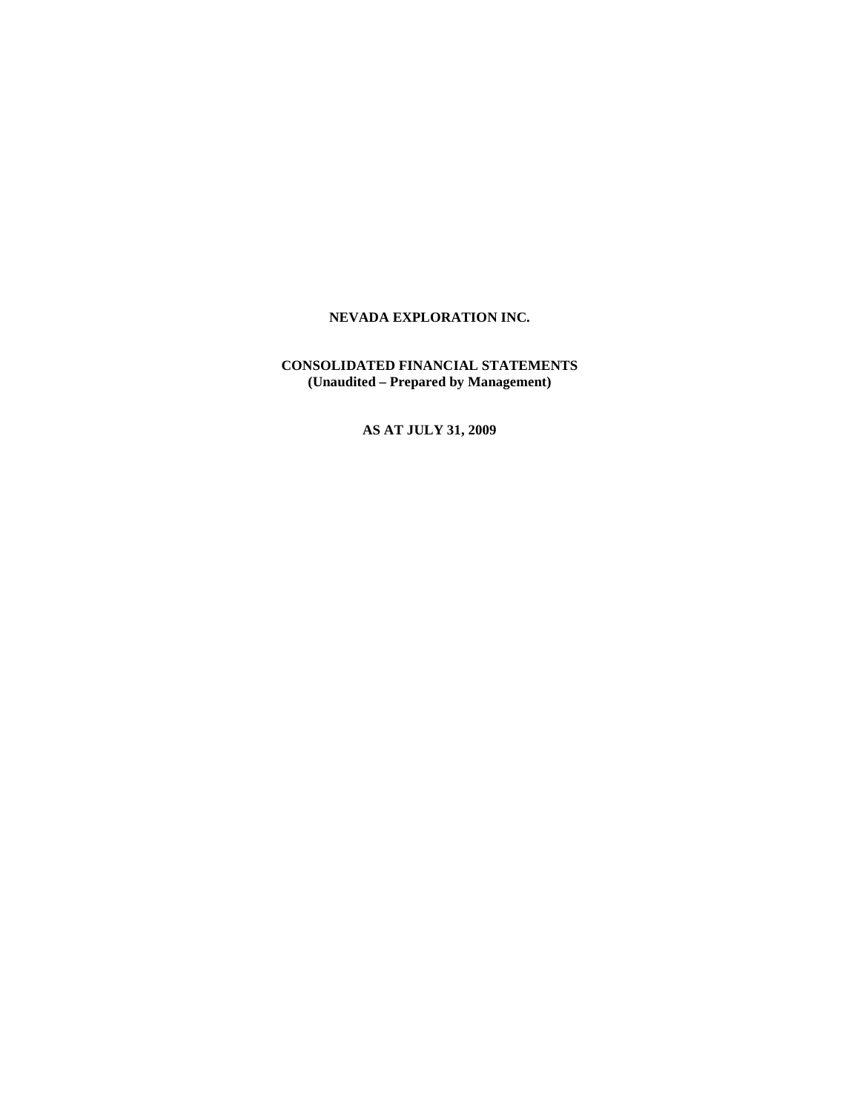**CONSOLIDATED FINANCIAL STATEMENTS (Unaudited – Prepared by Management)** 

**AS AT JULY 31, 2009**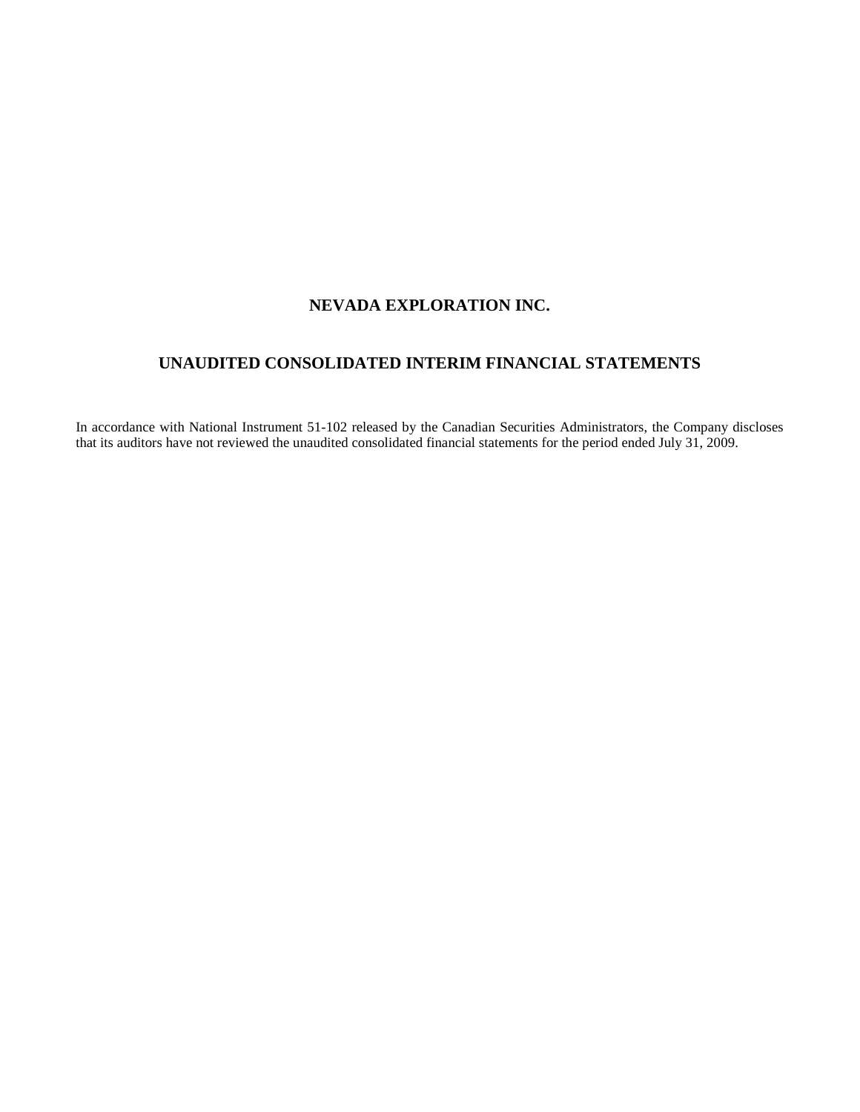# **UNAUDITED CONSOLIDATED INTERIM FINANCIAL STATEMENTS**

In accordance with National Instrument 51-102 released by the Canadian Securities Administrators, the Company discloses that its auditors have not reviewed the unaudited consolidated financial statements for the period ended July 31, 2009.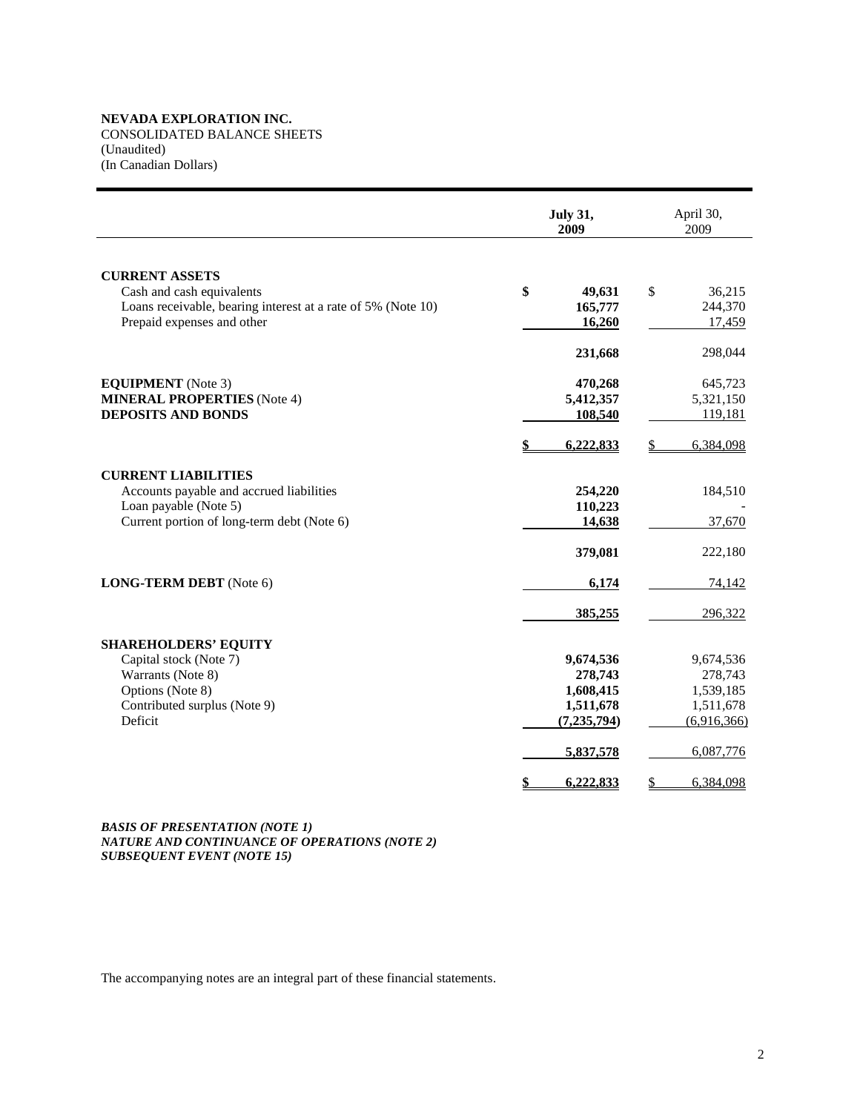CONSOLIDATED BALANCE SHEETS (Unaudited) (In Canadian Dollars)

|                                                                                            | <b>July 31,</b><br>2009 | April 30,<br>2009 |
|--------------------------------------------------------------------------------------------|-------------------------|-------------------|
| <b>CURRENT ASSETS</b>                                                                      |                         |                   |
| Cash and cash equivalents                                                                  | \$<br>49,631            | \$<br>36,215      |
| Loans receivable, bearing interest at a rate of 5% (Note 10)<br>Prepaid expenses and other | 165,777<br>16,260       | 244,370<br>17,459 |
|                                                                                            |                         |                   |
|                                                                                            | 231,668                 | 298,044           |
| <b>EQUIPMENT</b> (Note 3)                                                                  | 470,268                 | 645,723           |
| <b>MINERAL PROPERTIES</b> (Note 4)                                                         | 5,412,357               | 5,321,150         |
| <b>DEPOSITS AND BONDS</b>                                                                  | <u>108,540</u>          | 119,181           |
|                                                                                            | 6,222,833               | 6,384,098         |
| <b>CURRENT LIABILITIES</b>                                                                 |                         |                   |
| Accounts payable and accrued liabilities                                                   | 254,220                 | 184,510           |
| Loan payable (Note 5)                                                                      | 110,223                 |                   |
| Current portion of long-term debt (Note 6)                                                 | 14,638                  | 37,670            |
|                                                                                            | 379,081                 | 222,180           |
| LONG-TERM DEBT (Note 6)                                                                    | 6,174                   | 74,142            |
|                                                                                            | 385,255                 | 296,322           |
| <b>SHAREHOLDERS' EQUITY</b>                                                                |                         |                   |
| Capital stock (Note 7)                                                                     | 9,674,536               | 9,674,536         |
| Warrants (Note 8)                                                                          | 278,743                 | 278,743           |
| Options (Note 8)                                                                           | 1,608,415               | 1,539,185         |
| Contributed surplus (Note 9)<br>Deficit                                                    | 1,511,678               | 1,511,678         |
|                                                                                            | (7, 235, 794)           | (6,916,366)       |
|                                                                                            | 5,837,578               | 6,087,776         |
|                                                                                            | \$<br>6,222,833         | \$<br>6,384,098   |

*BASIS OF PRESENTATION (NOTE 1) NATURE AND CONTINUANCE OF OPERATIONS (NOTE 2) SUBSEQUENT EVENT (NOTE 15)*

The accompanying notes are an integral part of these financial statements.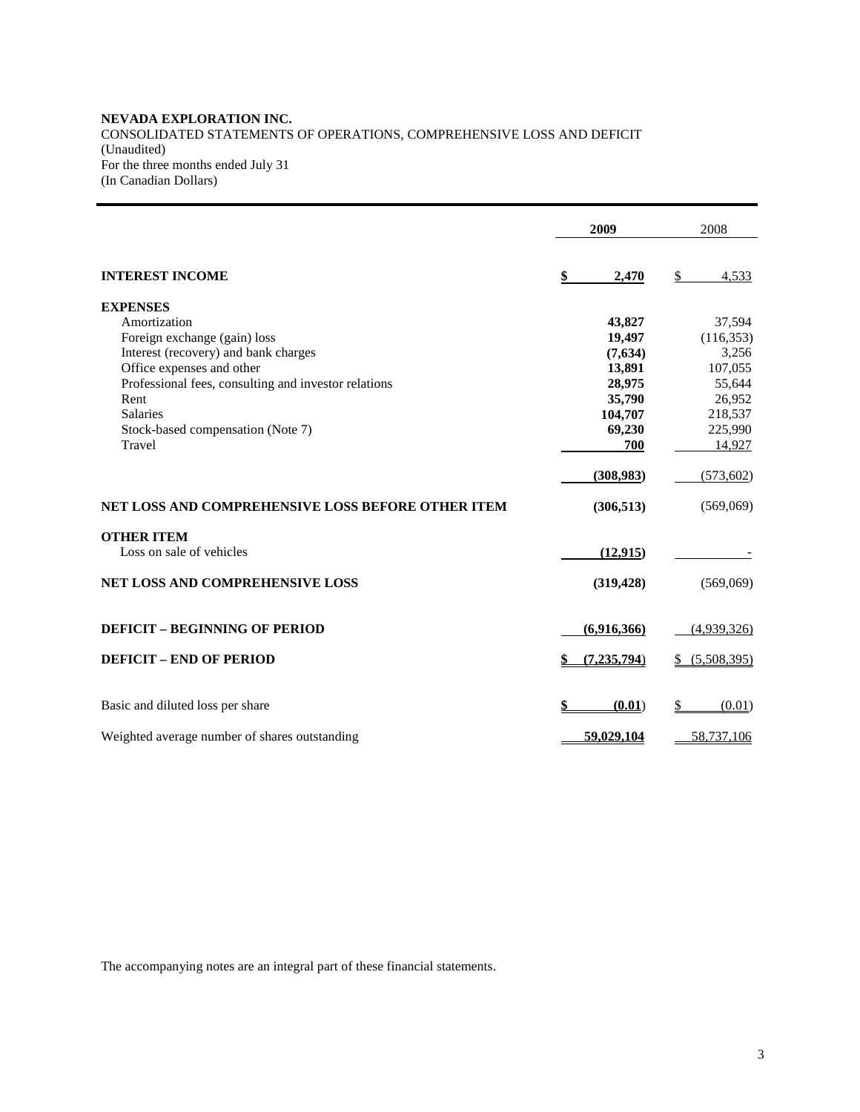## **NEVADA EXPLORATION INC.**  CONSOLIDATED STATEMENTS OF OPERATIONS, COMPREHENSIVE LOSS AND DEFICIT (Unaudited) For the three months ended July 31 (In Canadian Dollars)

|                                                      | 2009          | 2008              |
|------------------------------------------------------|---------------|-------------------|
|                                                      |               |                   |
| <b>INTEREST INCOME</b>                               | \$<br>2,470   | \$<br>4,533       |
| <b>EXPENSES</b>                                      |               |                   |
| Amortization                                         | 43,827        | 37,594            |
| Foreign exchange (gain) loss                         | 19,497        | (116, 353)        |
| Interest (recovery) and bank charges                 | (7,634)       | 3,256             |
| Office expenses and other                            | 13,891        | 107,055           |
| Professional fees, consulting and investor relations | 28,975        | 55,644            |
| Rent                                                 | 35,790        | 26,952            |
| <b>Salaries</b>                                      | 104,707       | 218,537           |
| Stock-based compensation (Note 7)                    | 69,230        | 225,990           |
| Travel                                               | 700           | 14,927            |
|                                                      | (308, 983)    | (573,602)         |
| NET LOSS AND COMPREHENSIVE LOSS BEFORE OTHER ITEM    | (306, 513)    | (569,069)         |
| <b>OTHER ITEM</b>                                    |               |                   |
| Loss on sale of vehicles                             | (12, 915)     |                   |
| <b>NET LOSS AND COMPREHENSIVE LOSS</b>               | (319, 428)    | (569,069)         |
| <b>DEFICIT - BEGINNING OF PERIOD</b>                 | (6,916,366)   | (4,939,326)       |
| <b>DEFICIT - END OF PERIOD</b>                       | (7, 235, 794) | \$<br>(5,508,395) |
| Basic and diluted loss per share                     | (0.01)        | \$<br>(0.01)      |
| Weighted average number of shares outstanding        | 59,029,104    | 58,737,106        |

The accompanying notes are an integral part of these financial statements.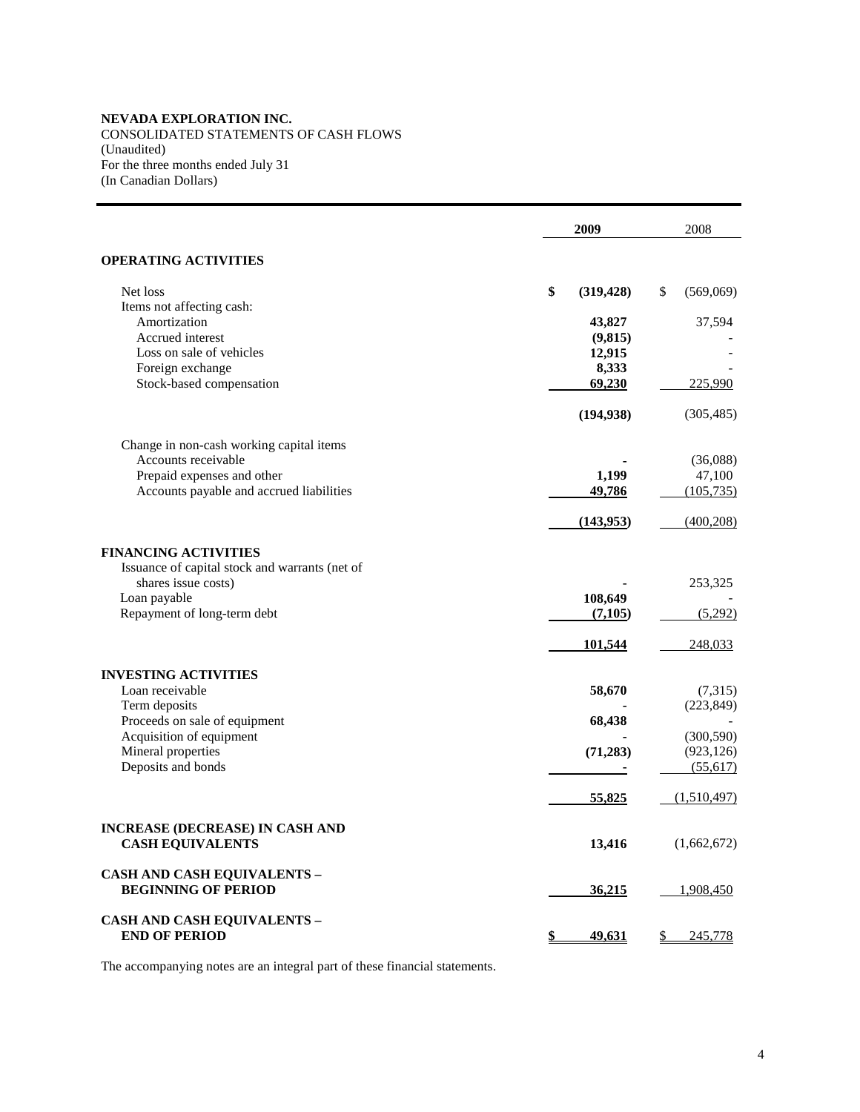CONSOLIDATED STATEMENTS OF CASH FLOWS (Unaudited) For the three months ended July 31

(In Canadian Dollars)

|                                                                        | 2009                | 2008                     |
|------------------------------------------------------------------------|---------------------|--------------------------|
| <b>OPERATING ACTIVITIES</b>                                            |                     |                          |
| Net loss                                                               | \$<br>(319, 428)    | \$<br>(569,069)          |
| Items not affecting cash:<br>Amortization                              | 43,827              | 37,594                   |
| Accrued interest                                                       | (9, 815)            |                          |
| Loss on sale of vehicles                                               | 12,915              |                          |
| Foreign exchange<br>Stock-based compensation                           | 8,333<br>69,230     | 225,990                  |
|                                                                        |                     |                          |
|                                                                        | (194, 938)          | (305, 485)               |
| Change in non-cash working capital items                               |                     |                          |
| Accounts receivable                                                    |                     | (36,088)                 |
| Prepaid expenses and other<br>Accounts payable and accrued liabilities | 1,199<br>49,786     | 47,100<br>(105, 735)     |
|                                                                        |                     |                          |
|                                                                        | (143,953)           | (400, 208)               |
| <b>FINANCING ACTIVITIES</b>                                            |                     |                          |
| Issuance of capital stock and warrants (net of<br>shares issue costs)  |                     | 253,325                  |
| Loan payable                                                           | 108,649             |                          |
| Repayment of long-term debt                                            | (7,105)             | (5,292)                  |
|                                                                        | 101,544             | 248,033                  |
|                                                                        |                     |                          |
| <b>INVESTING ACTIVITIES</b><br>Loan receivable                         | 58,670              | (7,315)                  |
| Term deposits                                                          |                     | (223, 849)               |
| Proceeds on sale of equipment                                          | 68,438              |                          |
| Acquisition of equipment<br>Mineral properties                         | (71, 283)           | (300, 590)<br>(923, 126) |
| Deposits and bonds                                                     |                     | (55,617)                 |
|                                                                        | 55,825              | (1,510,497)              |
| INCREASE (DECREASE) IN CASH AND                                        |                     |                          |
| <b>CASH EQUIVALENTS</b>                                                | 13,416              | (1,662,672)              |
| <b>CASH AND CASH EQUIVALENTS -</b>                                     |                     |                          |
| <b>BEGINNING OF PERIOD</b>                                             | <u>36,215</u>       | 1,908,450                |
| <b>CASH AND CASH EQUIVALENTS –</b>                                     |                     |                          |
| <b>END OF PERIOD</b>                                                   | \$<br><u>49,631</u> | 245,778<br>\$            |

The accompanying notes are an integral part of these financial statements.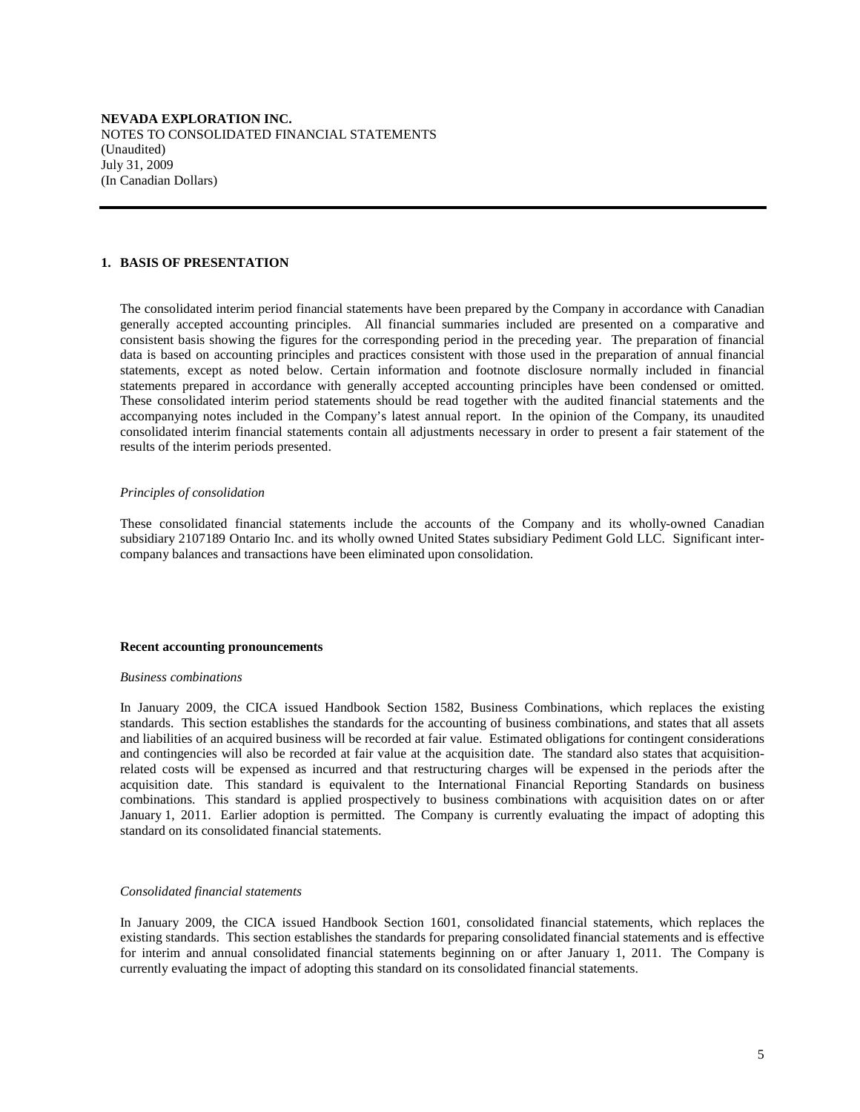#### **1. BASIS OF PRESENTATION**

 The consolidated interim period financial statements have been prepared by the Company in accordance with Canadian generally accepted accounting principles. All financial summaries included are presented on a comparative and consistent basis showing the figures for the corresponding period in the preceding year. The preparation of financial data is based on accounting principles and practices consistent with those used in the preparation of annual financial statements, except as noted below. Certain information and footnote disclosure normally included in financial statements prepared in accordance with generally accepted accounting principles have been condensed or omitted. These consolidated interim period statements should be read together with the audited financial statements and the accompanying notes included in the Company's latest annual report. In the opinion of the Company, its unaudited consolidated interim financial statements contain all adjustments necessary in order to present a fair statement of the results of the interim periods presented.

#### *Principles of consolidation*

 These consolidated financial statements include the accounts of the Company and its wholly-owned Canadian subsidiary 2107189 Ontario Inc. and its wholly owned United States subsidiary Pediment Gold LLC. Significant intercompany balances and transactions have been eliminated upon consolidation.

#### **Recent accounting pronouncements**

#### *Business combinations*

 In January 2009, the CICA issued Handbook Section 1582, Business Combinations, which replaces the existing standards. This section establishes the standards for the accounting of business combinations, and states that all assets and liabilities of an acquired business will be recorded at fair value. Estimated obligations for contingent considerations and contingencies will also be recorded at fair value at the acquisition date. The standard also states that acquisitionrelated costs will be expensed as incurred and that restructuring charges will be expensed in the periods after the acquisition date. This standard is equivalent to the International Financial Reporting Standards on business combinations. This standard is applied prospectively to business combinations with acquisition dates on or after January 1, 2011. Earlier adoption is permitted. The Company is currently evaluating the impact of adopting this standard on its consolidated financial statements.

#### *Consolidated financial statements*

 In January 2009, the CICA issued Handbook Section 1601, consolidated financial statements, which replaces the existing standards. This section establishes the standards for preparing consolidated financial statements and is effective for interim and annual consolidated financial statements beginning on or after January 1, 2011. The Company is currently evaluating the impact of adopting this standard on its consolidated financial statements.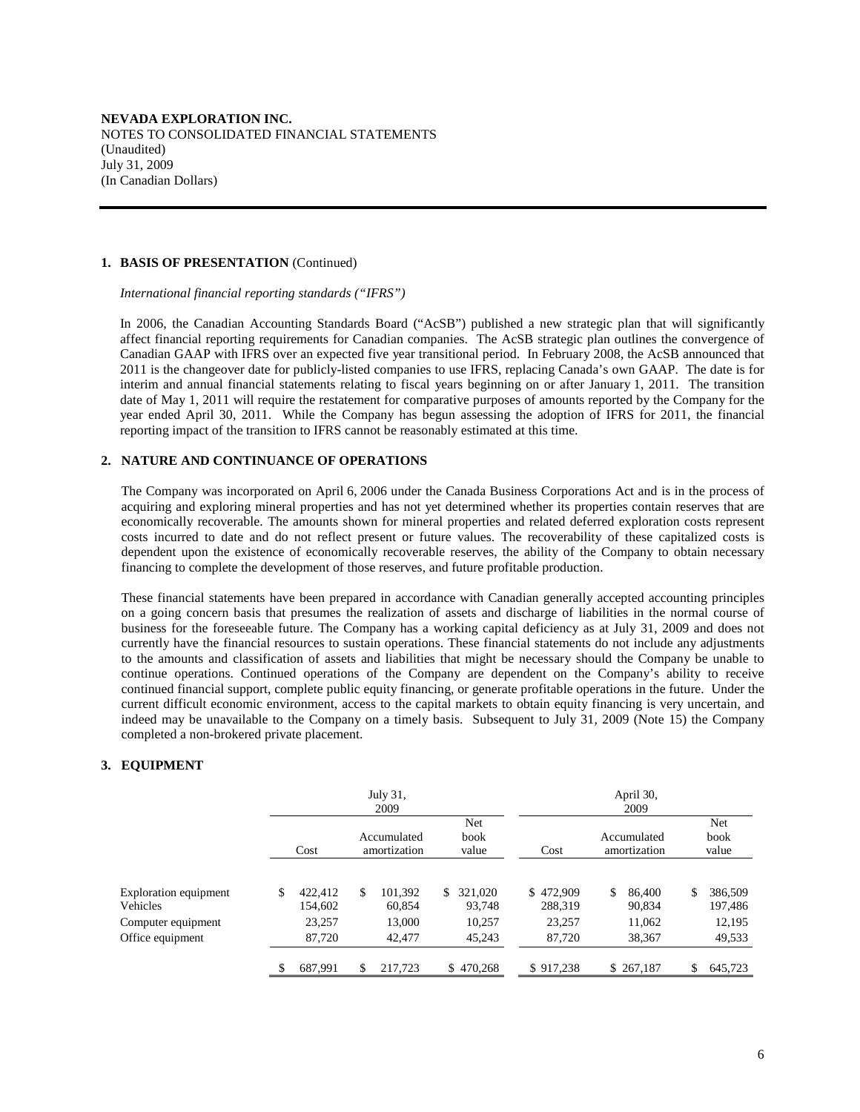#### **1. BASIS OF PRESENTATION** (Continued)

 *International financial reporting standards ("IFRS")* 

 In 2006, the Canadian Accounting Standards Board ("AcSB") published a new strategic plan that will significantly affect financial reporting requirements for Canadian companies. The AcSB strategic plan outlines the convergence of Canadian GAAP with IFRS over an expected five year transitional period. In February 2008, the AcSB announced that 2011 is the changeover date for publicly-listed companies to use IFRS, replacing Canada's own GAAP. The date is for interim and annual financial statements relating to fiscal years beginning on or after January 1, 2011. The transition date of May 1, 2011 will require the restatement for comparative purposes of amounts reported by the Company for the year ended April 30, 2011. While the Company has begun assessing the adoption of IFRS for 2011, the financial reporting impact of the transition to IFRS cannot be reasonably estimated at this time.

## **2. NATURE AND CONTINUANCE OF OPERATIONS**

The Company was incorporated on April 6, 2006 under the Canada Business Corporations Act and is in the process of acquiring and exploring mineral properties and has not yet determined whether its properties contain reserves that are economically recoverable. The amounts shown for mineral properties and related deferred exploration costs represent costs incurred to date and do not reflect present or future values. The recoverability of these capitalized costs is dependent upon the existence of economically recoverable reserves, the ability of the Company to obtain necessary financing to complete the development of those reserves, and future profitable production.

These financial statements have been prepared in accordance with Canadian generally accepted accounting principles on a going concern basis that presumes the realization of assets and discharge of liabilities in the normal course of business for the foreseeable future. The Company has a working capital deficiency as at July 31, 2009 and does not currently have the financial resources to sustain operations. These financial statements do not include any adjustments to the amounts and classification of assets and liabilities that might be necessary should the Company be unable to continue operations. Continued operations of the Company are dependent on the Company's ability to receive continued financial support, complete public equity financing, or generate profitable operations in the future. Under the current difficult economic environment, access to the capital markets to obtain equity financing is very uncertain, and indeed may be unavailable to the Company on a timely basis. Subsequent to July 31, 2009 (Note 15) the Company completed a non-brokered private placement.

## **3. EQUIPMENT**

|                                                                                    |      | July 31,<br>2009                       |                             |                                       |                                             |                                          | April 30,<br>2009                           |    |                                        |  |  |
|------------------------------------------------------------------------------------|------|----------------------------------------|-----------------------------|---------------------------------------|---------------------------------------------|------------------------------------------|---------------------------------------------|----|----------------------------------------|--|--|
|                                                                                    | Cost |                                        | Accumulated<br>amortization |                                       | Net<br>book<br>value                        | Cost                                     | Accumulated<br>amortization                 |    | Net<br>book<br>value                   |  |  |
| Exploration equipment<br><b>Vehicles</b><br>Computer equipment<br>Office equipment | \$   | 422,412<br>154.602<br>23,257<br>87,720 | \$                          | 101.392<br>60.854<br>13,000<br>42,477 | 321,020<br>\$<br>93.748<br>10.257<br>45,243 | \$472,909<br>288,319<br>23.257<br>87,720 | \$.<br>86,400<br>90,834<br>11,062<br>38,367 | \$ | 386,509<br>197,486<br>12,195<br>49,533 |  |  |
|                                                                                    |      | 687,991                                | \$                          | 217,723                               | \$470,268                                   | \$917,238                                | \$267,187                                   | \$ | 645,723                                |  |  |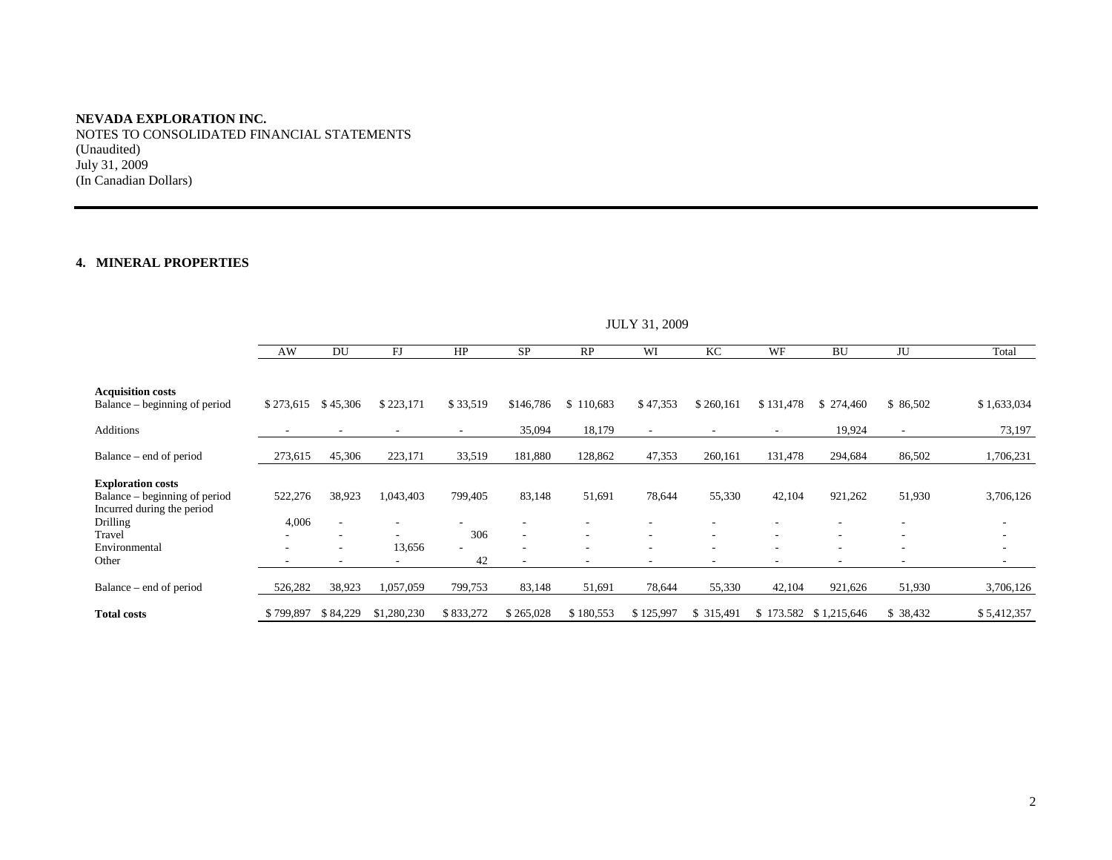NOTES TO CONSOLIDATED FINANCIAL STATEMENTS (Unaudited) July 31, 2009 (In Canadian Dollars)

# **4. MINERAL PROPERTIES**

|                                                                                         | JULI 31, 2009            |                                                                                  |             |                          |           |           |                          |            |                          |                          |                          |                                                                                  |
|-----------------------------------------------------------------------------------------|--------------------------|----------------------------------------------------------------------------------|-------------|--------------------------|-----------|-----------|--------------------------|------------|--------------------------|--------------------------|--------------------------|----------------------------------------------------------------------------------|
|                                                                                         | AW                       | DU                                                                               | FJ          | HP                       | SP        | RP        | WI                       | KC         | WF                       | <b>BU</b>                | JU                       | Total                                                                            |
| <b>Acquisition costs</b><br>Balance – beginning of period                               | \$273,615                | \$45,306                                                                         | \$223,171   | \$33,519                 | \$146,786 | \$110,683 | \$47,353                 | \$260,161  | \$131,478                | \$274,460                | \$86,502                 | \$1,633,034                                                                      |
| Additions                                                                               |                          | $\overline{\phantom{a}}$                                                         |             | $\overline{\phantom{a}}$ | 35,094    | 18,179    | $\overline{\phantom{a}}$ | ٠          | $\overline{\phantom{a}}$ | 19,924                   | $\overline{\phantom{a}}$ | 73,197                                                                           |
| Balance – end of period                                                                 | 273,615                  | 45,306                                                                           | 223,171     | 33,519                   | 181,880   | 128,862   | 47,353                   | 260,161    | 131,478                  | 294,684                  | 86,502                   | 1,706,231                                                                        |
| <b>Exploration costs</b><br>Balance – beginning of period<br>Incurred during the period | 522,276                  | 38,923                                                                           | 1,043,403   | 799,405                  | 83,148    | 51,691    | 78,644                   | 55,330     | 42,104                   | 921,262                  | 51,930                   | 3,706,126                                                                        |
| Drilling                                                                                | 4,006                    | $\overline{\phantom{a}}$                                                         |             |                          |           |           |                          |            |                          |                          |                          |                                                                                  |
| Travel<br>Environmental<br>Other                                                        | $\overline{\phantom{a}}$ | $\overline{\phantom{a}}$<br>$\overline{\phantom{a}}$<br>$\overline{\phantom{a}}$ | 13,656      | 306<br>42                |           | ٠         | $\overline{\phantom{a}}$ | ٠          | $\overline{\phantom{a}}$ | $\overline{\phantom{a}}$ | $\overline{\phantom{a}}$ | $\overline{\phantom{a}}$<br>$\overline{\phantom{a}}$<br>$\overline{\phantom{a}}$ |
| Balance – end of period                                                                 | 526,282                  | 38,923                                                                           | 1,057,059   | 799,753                  | 83,148    | 51,691    | 78,644                   | 55,330     | 42,104                   | 921,626                  | 51,930                   | 3,706,126                                                                        |
| <b>Total costs</b>                                                                      | \$799,897                | \$84,229                                                                         | \$1,280,230 | \$833,272                | \$265,028 | \$180,553 | \$125,997                | \$ 315,491 |                          | \$1,215,646              | \$ 38,432                | \$5,412,357                                                                      |

 $H$  JULY 21, 2000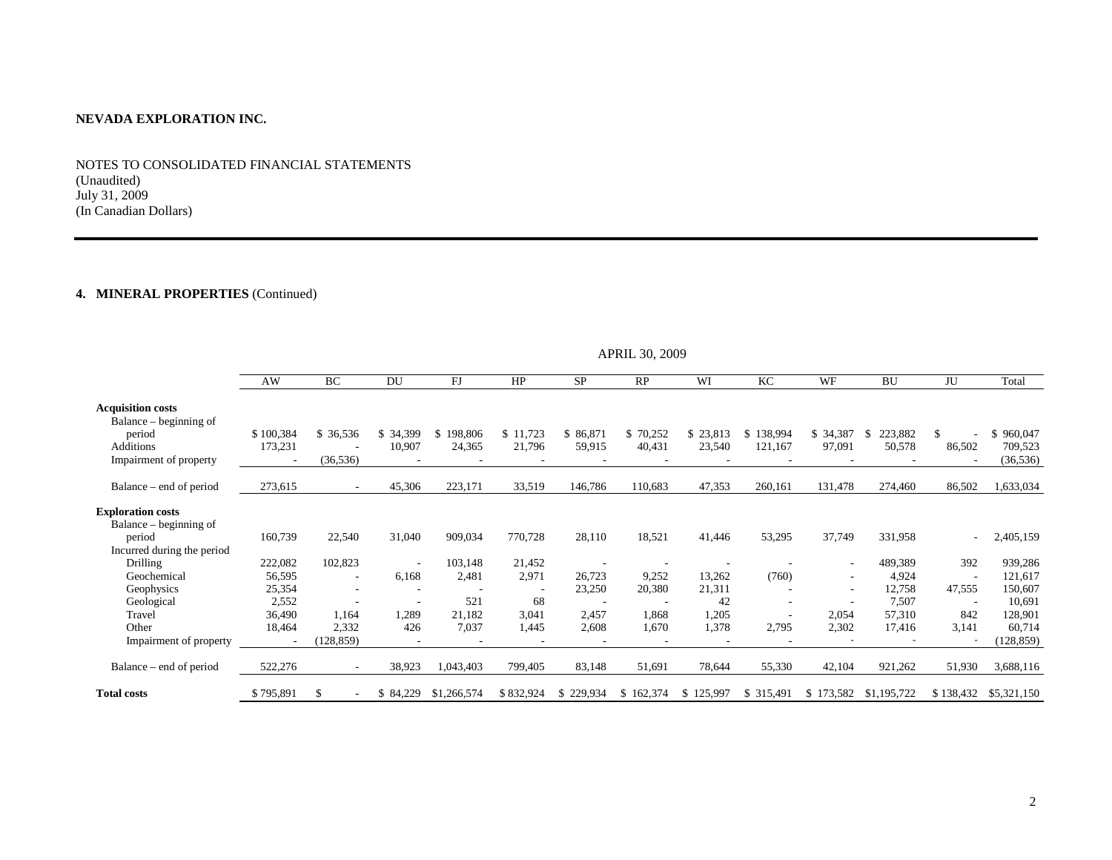NOTES TO CONSOLIDATED FINANCIAL STATEMENTS (Unaudited) July 31, 2009 (In Canadian Dollars)

# **4. MINERAL PROPERTIES** (Continued)

|                                                    | AW        | <b>BC</b>                | DU                       | FJ            | HP        | <b>SP</b> | RP        | WI                       | KC         | WF        | <b>BU</b>      | JU            | Total       |
|----------------------------------------------------|-----------|--------------------------|--------------------------|---------------|-----------|-----------|-----------|--------------------------|------------|-----------|----------------|---------------|-------------|
| <b>Acquisition costs</b><br>Balance – beginning of |           |                          |                          |               |           |           |           |                          |            |           |                |               |             |
| period                                             | \$100,384 | \$ 36,536                | \$ 34,399                | 198,806<br>£. | \$11,723  | \$86,871  | \$70,252  | \$23,813                 | \$138,994  | \$ 34,387 | 223,882<br>\$. | <sup>\$</sup> | \$960,047   |
| Additions                                          | 173,231   |                          | 10,907                   | 24,365        | 21,796    | 59,915    | 40,431    | 23,540                   | 121,167    | 97,091    | 50,578         | 86,502        | 709,523     |
| Impairment of property                             |           | (36, 536)                |                          |               |           |           |           |                          |            |           |                |               | (36, 536)   |
| Balance – end of period                            | 273,615   | $\sim$                   | 45,306                   | 223,171       | 33,519    | 146,786   | 110,683   | 47,353                   | 260,161    | 131,478   | 274,460        | 86,502        | 1,633,034   |
| <b>Exploration costs</b><br>Balance – beginning of |           |                          |                          |               |           |           |           |                          |            |           |                |               |             |
| period                                             | 160,739   | 22,540                   | 31,040                   | 909,034       | 770,728   | 28,110    | 18,521    | 41,446                   | 53,295     | 37,749    | 331,958        |               | 2,405,159   |
| Incurred during the period                         |           |                          |                          |               |           |           |           |                          |            |           |                |               |             |
| <b>Drilling</b>                                    | 222,082   | 102,823                  | $\overline{\phantom{a}}$ | 103,148       | 21,452    |           |           | $\overline{\phantom{a}}$ |            |           | 489,389        | 392           | 939,286     |
| Geochemical                                        | 56,595    | $\overline{\phantom{a}}$ | 6,168                    | 2,481         | 2,971     | 26,723    | 9,252     | 13,262                   | (760)      |           | 4,924          |               | 121,617     |
| Geophysics                                         | 25,354    |                          | $\overline{\phantom{a}}$ |               |           | 23,250    | 20,380    | 21,311                   |            |           | 12,758         | 47,555        | 150,607     |
| Geological                                         | 2,552     |                          | $\overline{\phantom{a}}$ | 521           | 68        |           |           | 42                       |            |           | 7,507          |               | 10,691      |
| Travel                                             | 36,490    | 1,164                    | 1,289                    | 21,182        | 3,041     | 2,457     | 1,868     | 1,205                    |            | 2,054     | 57,310         | 842           | 128,901     |
| Other                                              | 18,464    | 2,332                    | 426                      | 7,037         | 1,445     | 2,608     | 1,670     | 1,378                    | 2,795      | 2,302     | 17,416         | 3,141         | 60,714      |
| Impairment of property                             |           | (128, 859)               | $\overline{\phantom{a}}$ |               |           |           |           | $\overline{\phantom{a}}$ |            |           |                |               | (128, 859)  |
| Balance – end of period                            | 522,276   |                          | 38,923                   | 1,043,403     | 799,405   | 83,148    | 51,691    | 78,644                   | 55,330     | 42,104    | 921,262        | 51,930        | 3,688,116   |
| <b>Total costs</b>                                 | \$795,891 |                          | \$84,229                 | \$1,266,574   | \$832,924 | \$229,934 | \$162,374 | \$125,997                | \$ 315,491 | \$173,582 | \$1,195,722    | \$138,432     | \$5,321,150 |

APRIL 30, 2009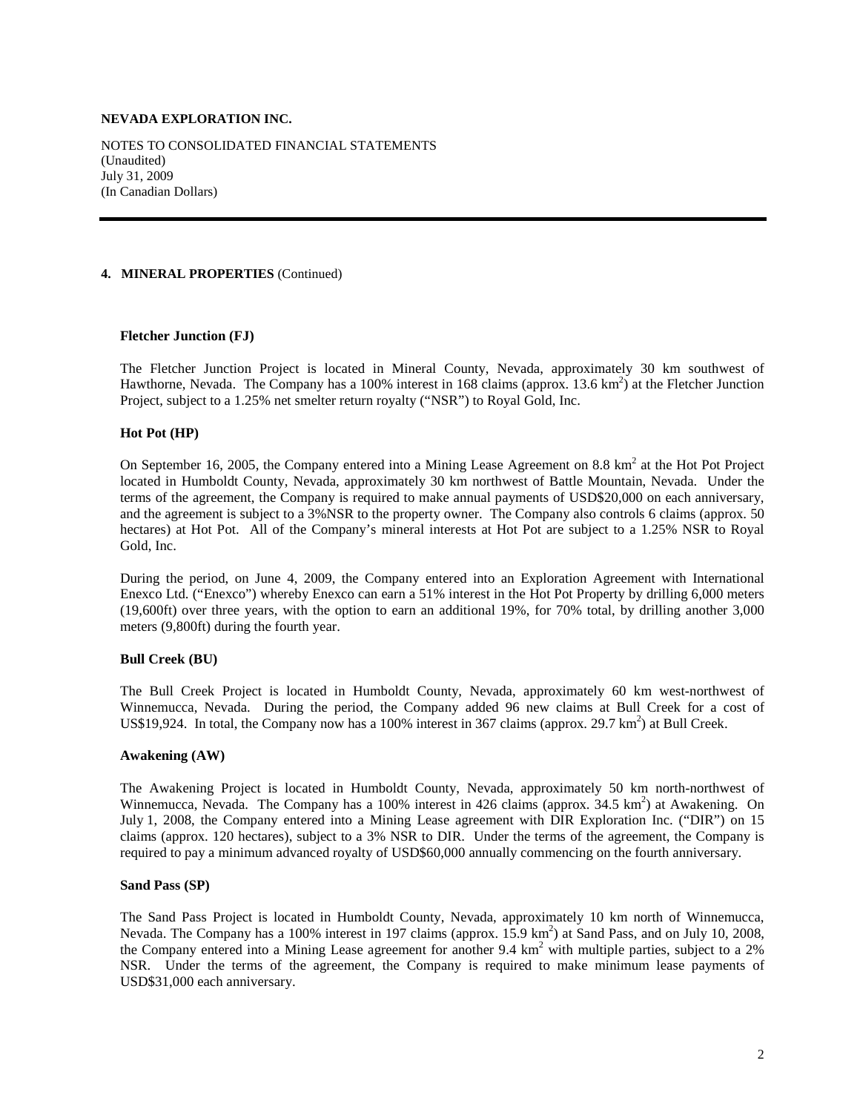NOTES TO CONSOLIDATED FINANCIAL STATEMENTS (Unaudited) July 31, 2009 (In Canadian Dollars)

## **4. MINERAL PROPERTIES** (Continued)

#### **Fletcher Junction (FJ)**

The Fletcher Junction Project is located in Mineral County, Nevada, approximately 30 km southwest of Hawthorne, Nevada. The Company has a 100% interest in 168 claims (approx. 13.6 km<sup>2</sup>) at the Fletcher Junction Project, subject to a 1.25% net smelter return royalty ("NSR") to Royal Gold, Inc.

#### **Hot Pot (HP)**

On September 16, 2005, the Company entered into a Mining Lease Agreement on 8.8  $km<sup>2</sup>$  at the Hot Project located in Humboldt County, Nevada, approximately 30 km northwest of Battle Mountain, Nevada. Under the terms of the agreement, the Company is required to make annual payments of USD\$20,000 on each anniversary, and the agreement is subject to a 3%NSR to the property owner. The Company also controls 6 claims (approx. 50 hectares) at Hot Pot. All of the Company's mineral interests at Hot Pot are subject to a 1.25% NSR to Royal Gold, Inc.

During the period, on June 4, 2009, the Company entered into an Exploration Agreement with International Enexco Ltd. ("Enexco") whereby Enexco can earn a 51% interest in the Hot Pot Property by drilling 6,000 meters (19,600ft) over three years, with the option to earn an additional 19%, for 70% total, by drilling another 3,000 meters (9,800ft) during the fourth year.

## **Bull Creek (BU)**

The Bull Creek Project is located in Humboldt County, Nevada, approximately 60 km west-northwest of Winnemucca, Nevada. During the period, the Company added 96 new claims at Bull Creek for a cost of US\$19,924. In total, the Company now has a 100% interest in 367 claims (approx. 29.7  $\text{km}^2$ ) at Bull Creek.

#### **Awakening (AW)**

The Awakening Project is located in Humboldt County, Nevada, approximately 50 km north-northwest of Winnemucca, Nevada. The Company has a 100% interest in 426 claims (approx. 34.5 km<sup>2</sup>) at Awakening. On July 1, 2008, the Company entered into a Mining Lease agreement with DIR Exploration Inc. ("DIR") on 15 claims (approx. 120 hectares), subject to a 3% NSR to DIR. Under the terms of the agreement, the Company is required to pay a minimum advanced royalty of USD\$60,000 annually commencing on the fourth anniversary.

#### **Sand Pass (SP)**

The Sand Pass Project is located in Humboldt County, Nevada, approximately 10 km north of Winnemucca, Nevada. The Company has a 100% interest in 197 claims (approx. 15.9 km<sup>2</sup>) at Sand Pass, and on July 10, 2008, the Company entered into a Mining Lease agreement for another 9.4 km<sup>2</sup> with multiple parties, subject to a 2% NSR. Under the terms of the agreement, the Company is required to make minimum lease payments of USD\$31,000 each anniversary.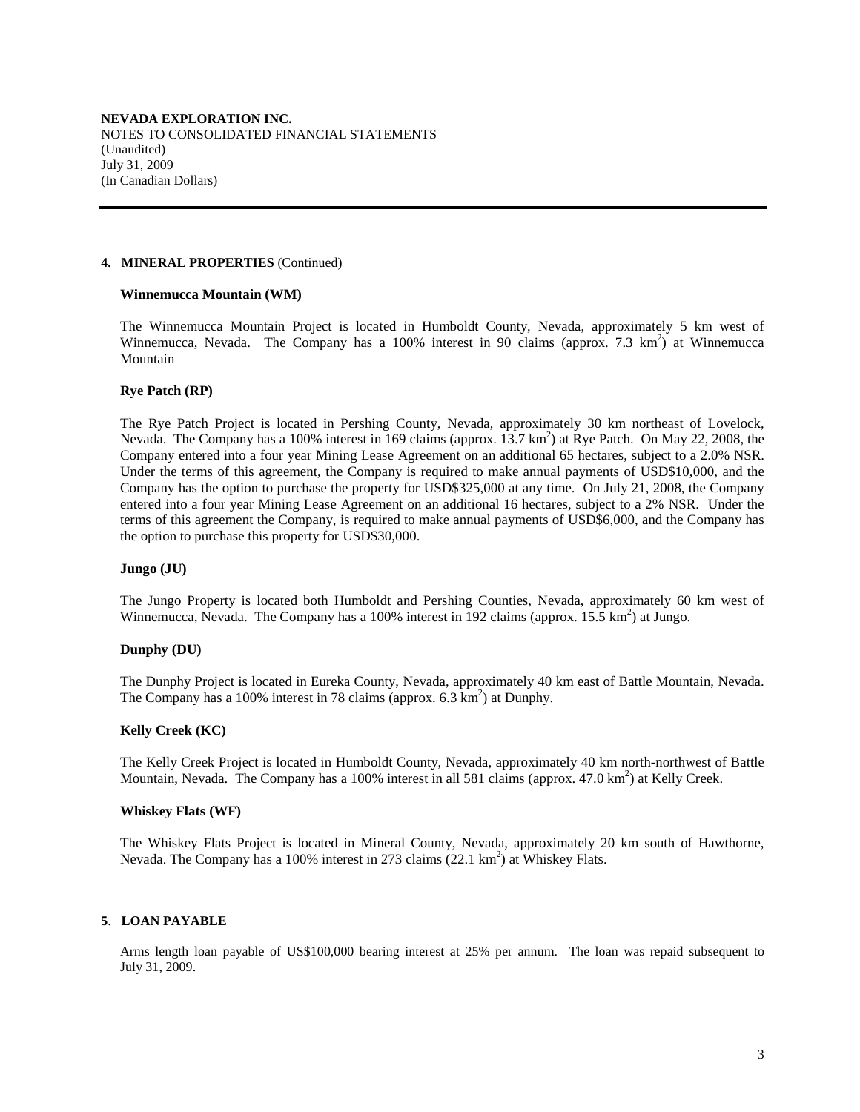#### **4. MINERAL PROPERTIES** (Continued)

#### **Winnemucca Mountain (WM)**

The Winnemucca Mountain Project is located in Humboldt County, Nevada, approximately 5 km west of Winnemucca, Nevada. The Company has a 100% interest in 90 claims (approx. 7.3  $km^2$ ) at Winnemucca Mountain

## **Rye Patch (RP)**

The Rye Patch Project is located in Pershing County, Nevada, approximately 30 km northeast of Lovelock, Nevada. The Company has a 100% interest in 169 claims (approx. 13.7 km<sup>2</sup>) at Rye Patch. On May 22, 2008, the Company entered into a four year Mining Lease Agreement on an additional 65 hectares, subject to a 2.0% NSR. Under the terms of this agreement, the Company is required to make annual payments of USD\$10,000, and the Company has the option to purchase the property for USD\$325,000 at any time. On July 21, 2008, the Company entered into a four year Mining Lease Agreement on an additional 16 hectares, subject to a 2% NSR. Under the terms of this agreement the Company, is required to make annual payments of USD\$6,000, and the Company has the option to purchase this property for USD\$30,000.

## **Jungo (JU)**

The Jungo Property is located both Humboldt and Pershing Counties, Nevada, approximately 60 km west of Winnemucca, Nevada. The Company has a 100% interest in 192 claims (approx.  $15.5 \text{ km}^2$ ) at Jungo.

## **Dunphy (DU)**

The Dunphy Project is located in Eureka County, Nevada, approximately 40 km east of Battle Mountain, Nevada. The Company has a 100% interest in 78 claims (approx.  $6.3 \text{ km}^2$ ) at Dunphy.

# **Kelly Creek (KC)**

The Kelly Creek Project is located in Humboldt County, Nevada, approximately 40 km north-northwest of Battle Mountain, Nevada. The Company has a 100% interest in all 581 claims (approx. 47.0 km<sup>2</sup>) at Kelly Creek.

## **Whiskey Flats (WF)**

The Whiskey Flats Project is located in Mineral County, Nevada, approximately 20 km south of Hawthorne, Nevada. The Company has a 100% interest in 273 claims  $(22.1 \text{ km}^2)$  at Whiskey Flats.

## **5**. **LOAN PAYABLE**

Arms length loan payable of US\$100,000 bearing interest at 25% per annum. The loan was repaid subsequent to July 31, 2009.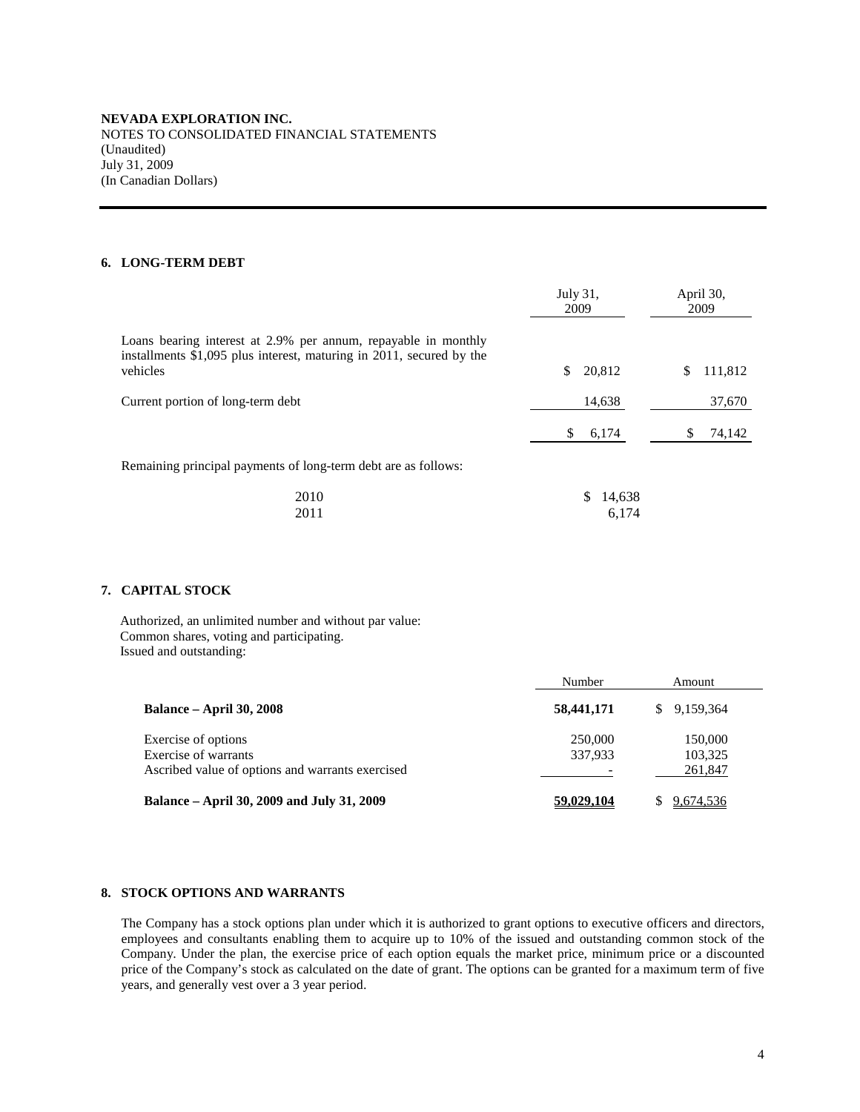# **6. LONG-TERM DEBT**

|                                                                                                                                                    | July 31,<br>2009 | April 30,<br>2009 |
|----------------------------------------------------------------------------------------------------------------------------------------------------|------------------|-------------------|
| Loans bearing interest at 2.9% per annum, repayable in monthly<br>installments \$1,095 plus interest, maturing in 2011, secured by the<br>vehicles | 20,812<br>\$.    | 111,812<br>S      |
| Current portion of long-term debt                                                                                                                  | 14,638           | 37,670            |
|                                                                                                                                                    | \$<br>6,174      | 74,142            |
| Remaining principal payments of long-term debt are as follows:                                                                                     |                  |                   |
| 2010                                                                                                                                               | 14,638<br>S      |                   |

2011 6,174

## **7. CAPITAL STOCK**

Authorized, an unlimited number and without par value: Common shares, voting and participating. Issued and outstanding:

|                                                  | Number     | Amount          |
|--------------------------------------------------|------------|-----------------|
| <b>Balance – April 30, 2008</b>                  | 58,441,171 | 9.159.364<br>S. |
| Exercise of options                              | 250,000    | 150,000         |
| Exercise of warrants                             | 337,933    | 103,325         |
| Ascribed value of options and warrants exercised |            | 261,847         |
| Balance – April 30, 2009 and July 31, 2009       | 59,029,104 | 9,674,536       |

# **8. STOCK OPTIONS AND WARRANTS**

The Company has a stock options plan under which it is authorized to grant options to executive officers and directors, employees and consultants enabling them to acquire up to 10% of the issued and outstanding common stock of the Company. Under the plan, the exercise price of each option equals the market price, minimum price or a discounted price of the Company's stock as calculated on the date of grant. The options can be granted for a maximum term of five years, and generally vest over a 3 year period.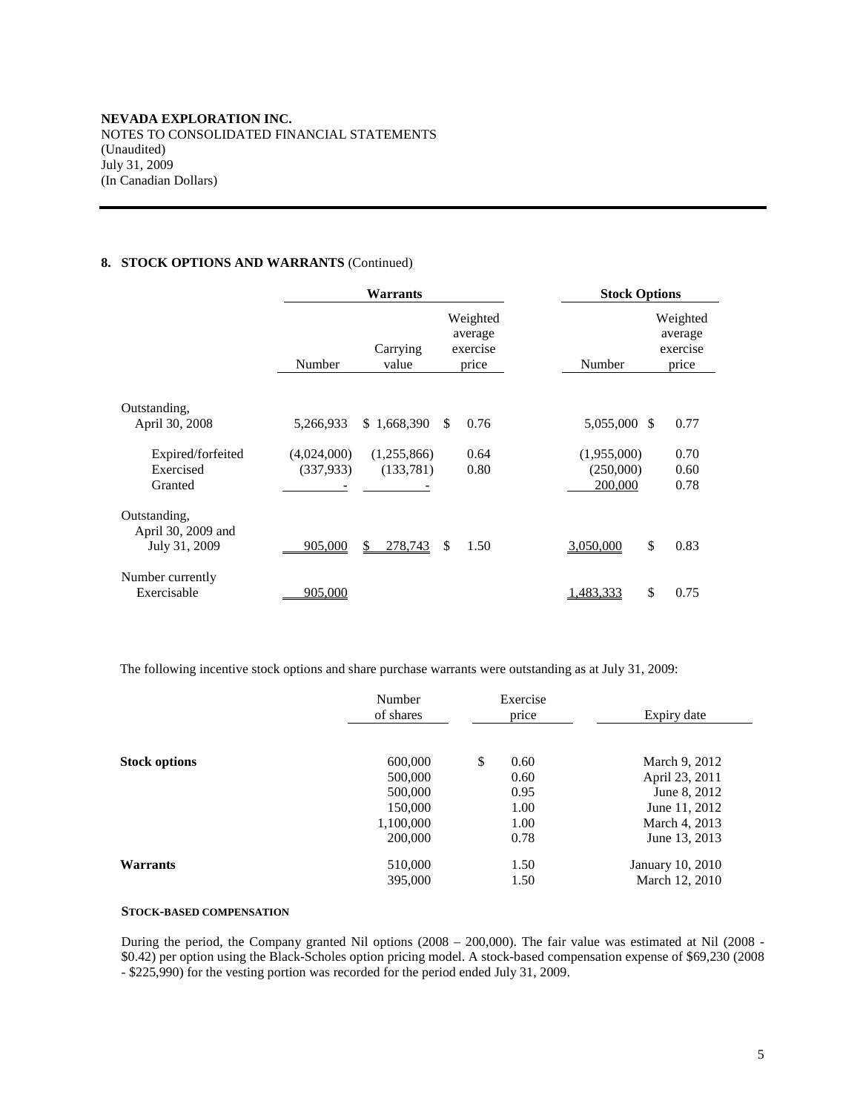# **8. STOCK OPTIONS AND WARRANTS** (Continued)

|                                                     |                          | <b>Warrants</b>          | <b>Stock Options</b>                     |                                     |                                          |
|-----------------------------------------------------|--------------------------|--------------------------|------------------------------------------|-------------------------------------|------------------------------------------|
|                                                     | Number                   | Carrying<br>value        | Weighted<br>average<br>exercise<br>price | Number                              | Weighted<br>average<br>exercise<br>price |
|                                                     |                          |                          |                                          |                                     |                                          |
| Outstanding,<br>April 30, 2008                      | 5,266,933                | \$1,668,390              | 0.76<br><sup>\$</sup>                    | 5,055,000 \$                        | 0.77                                     |
| Expired/forfeited<br>Exercised<br>Granted           | (4,024,000)<br>(337,933) | (1,255,866)<br>(133,781) | 0.64<br>0.80                             | (1,955,000)<br>(250,000)<br>200,000 | 0.70<br>0.60<br>0.78                     |
| Outstanding.<br>April 30, 2009 and<br>July 31, 2009 | 905,000                  | \$<br>278,743            | \$<br>1.50                               | \$<br>3,050,000                     | 0.83                                     |
| Number currently<br>Exercisable                     | 905,000                  |                          |                                          | \$<br>1,483,333                     | 0.75                                     |

The following incentive stock options and share purchase warrants were outstanding as at July 31, 2009:

|                      | Number<br>of shares | Exercise<br>price | Expiry date      |  |
|----------------------|---------------------|-------------------|------------------|--|
| <b>Stock options</b> | 600,000             | \$<br>0.60        | March 9, 2012    |  |
|                      | 500,000             | 0.60              | April 23, 2011   |  |
|                      | 500,000             | 0.95              | June 8, 2012     |  |
|                      | 150,000             | 1.00              | June 11, 2012    |  |
|                      | 1,100,000           | 1.00              | March 4, 2013    |  |
|                      | 200,000             | 0.78              | June 13, 2013    |  |
| Warrants             | 510,000             | 1.50              | January 10, 2010 |  |
|                      | 395,000             | 1.50              | March 12, 2010   |  |

## **STOCK-BASED COMPENSATION**

During the period, the Company granted Nil options (2008 – 200,000). The fair value was estimated at Nil (2008 - \$0.42) per option using the Black-Scholes option pricing model. A stock-based compensation expense of \$69,230 (2008 - \$225,990) for the vesting portion was recorded for the period ended July 31, 2009.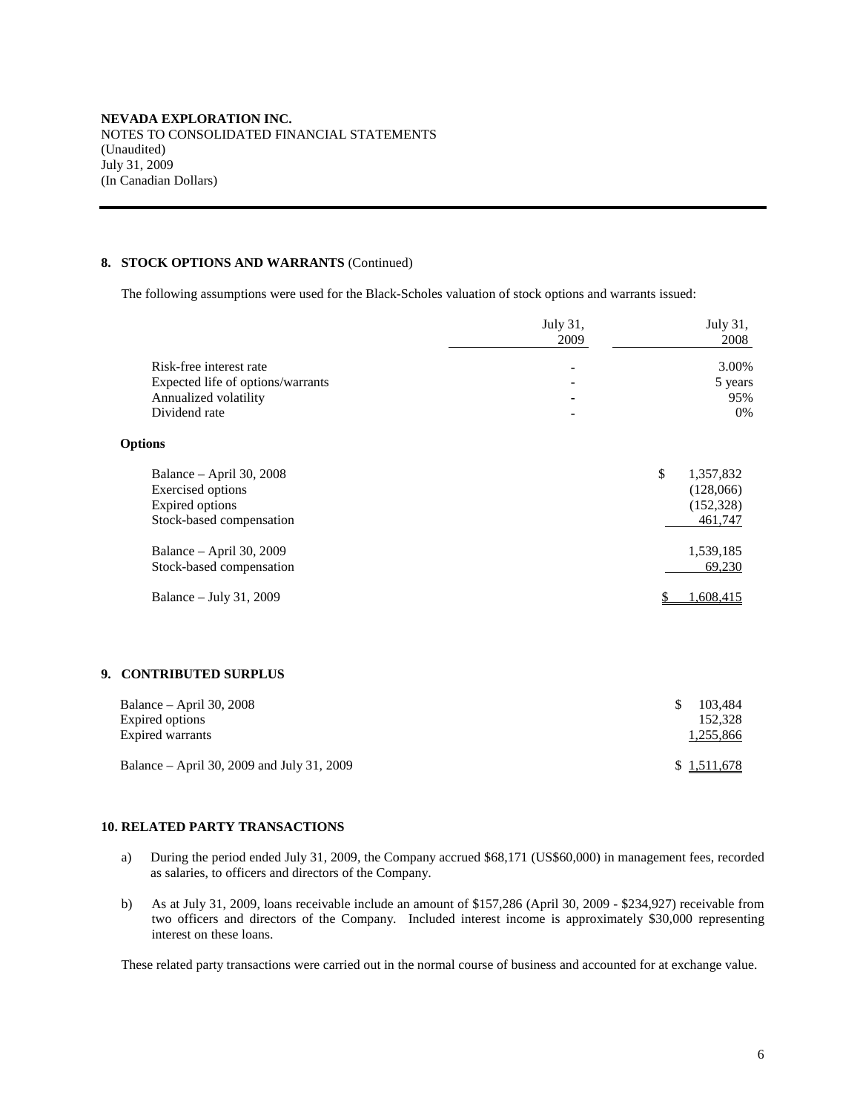## **8. STOCK OPTIONS AND WARRANTS** (Continued)

The following assumptions were used for the Black-Scholes valuation of stock options and warrants issued:

|                  |                                   | July 31,<br>2009 | July 31,<br>2008 |
|------------------|-----------------------------------|------------------|------------------|
|                  | Risk-free interest rate           |                  | 3.00%            |
|                  | Expected life of options/warrants |                  | 5 years          |
|                  | Annualized volatility             |                  | 95%              |
|                  | Dividend rate                     |                  | 0%               |
| <b>Options</b>   |                                   |                  |                  |
|                  | Balance - April 30, 2008          |                  | \$<br>1,357,832  |
|                  | <b>Exercised</b> options          |                  | (128,066)        |
|                  | Expired options                   |                  | (152, 328)       |
|                  | Stock-based compensation          |                  | 461,747          |
|                  | Balance - April 30, 2009          |                  | 1,539,185        |
|                  | Stock-based compensation          |                  | 69,230           |
|                  | Balance - July 31, 2009           |                  | 1,608,415<br>S   |
|                  |                                   |                  |                  |
| 9.               | <b>CONTRIBUTED SURPLUS</b>        |                  |                  |
|                  | Balance - April 30, 2008          |                  | \$<br>103,484    |
| Expired options  |                                   |                  | 152,328          |
| Expired warrants |                                   |                  | 1,255,866        |
|                  |                                   |                  |                  |

Balance – April 30, 2009 and July 31, 2009  $\frac{1,511,678}{2}$ 

## **10. RELATED PARTY TRANSACTIONS**

- a) During the period ended July 31, 2009, the Company accrued \$68,171 (US\$60,000) in management fees, recorded as salaries, to officers and directors of the Company.
- b) As at July 31, 2009, loans receivable include an amount of \$157,286 (April 30, 2009 \$234,927) receivable from two officers and directors of the Company. Included interest income is approximately \$30,000 representing interest on these loans.

These related party transactions were carried out in the normal course of business and accounted for at exchange value.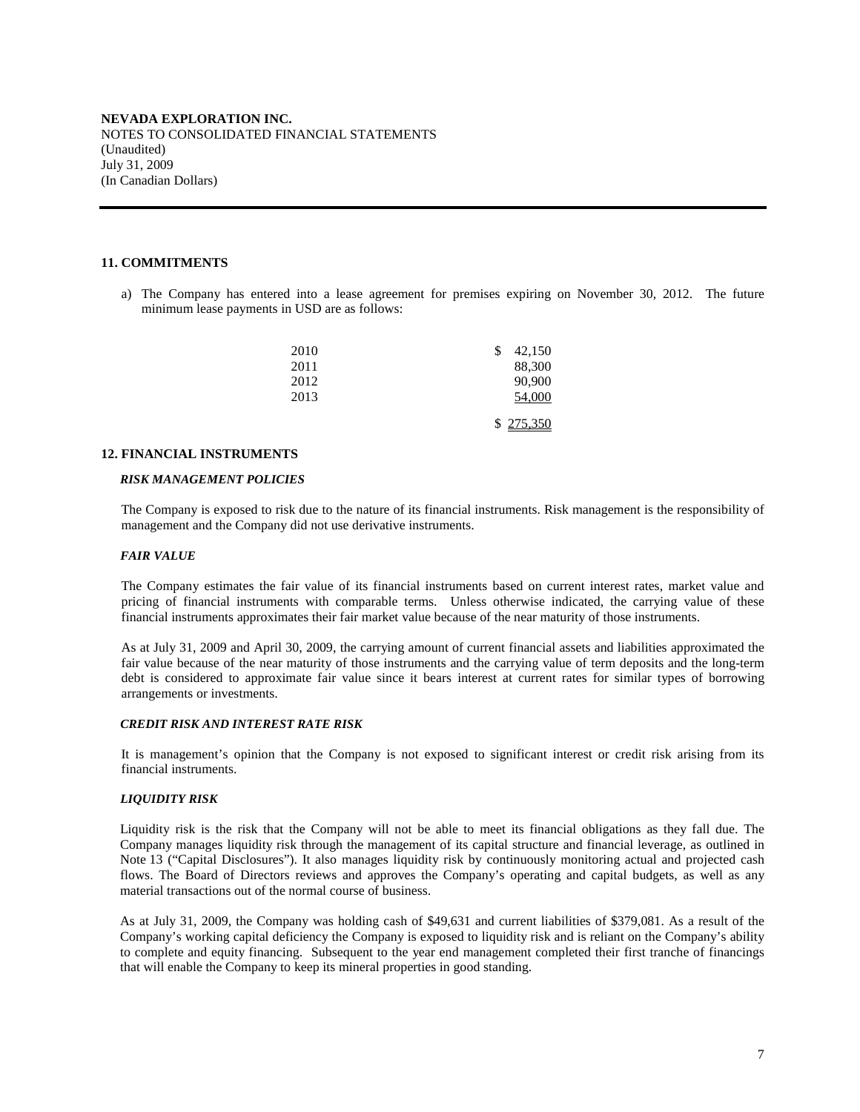## **11. COMMITMENTS**

a) The Company has entered into a lease agreement for premises expiring on November 30, 2012. The future minimum lease payments in USD are as follows:

| 2010 | 42,150<br>\$ |
|------|--------------|
| 2011 | 88,300       |
| 2012 | 90,900       |
| 2013 | 54,000       |
|      |              |
|      | \$275,350    |

#### **12. FINANCIAL INSTRUMENTS**

#### *RISK MANAGEMENT POLICIES*

The Company is exposed to risk due to the nature of its financial instruments. Risk management is the responsibility of management and the Company did not use derivative instruments.

#### *FAIR VALUE*

The Company estimates the fair value of its financial instruments based on current interest rates, market value and pricing of financial instruments with comparable terms. Unless otherwise indicated, the carrying value of these financial instruments approximates their fair market value because of the near maturity of those instruments.

As at July 31, 2009 and April 30, 2009, the carrying amount of current financial assets and liabilities approximated the fair value because of the near maturity of those instruments and the carrying value of term deposits and the long-term debt is considered to approximate fair value since it bears interest at current rates for similar types of borrowing arrangements or investments.

#### *CREDIT RISK AND INTEREST RATE RISK*

It is management's opinion that the Company is not exposed to significant interest or credit risk arising from its financial instruments.

#### *LIQUIDITY RISK*

Liquidity risk is the risk that the Company will not be able to meet its financial obligations as they fall due. The Company manages liquidity risk through the management of its capital structure and financial leverage, as outlined in Note 13 ("Capital Disclosures"). It also manages liquidity risk by continuously monitoring actual and projected cash flows. The Board of Directors reviews and approves the Company's operating and capital budgets, as well as any material transactions out of the normal course of business.

As at July 31, 2009, the Company was holding cash of \$49,631 and current liabilities of \$379,081. As a result of the Company's working capital deficiency the Company is exposed to liquidity risk and is reliant on the Company's ability to complete and equity financing. Subsequent to the year end management completed their first tranche of financings that will enable the Company to keep its mineral properties in good standing.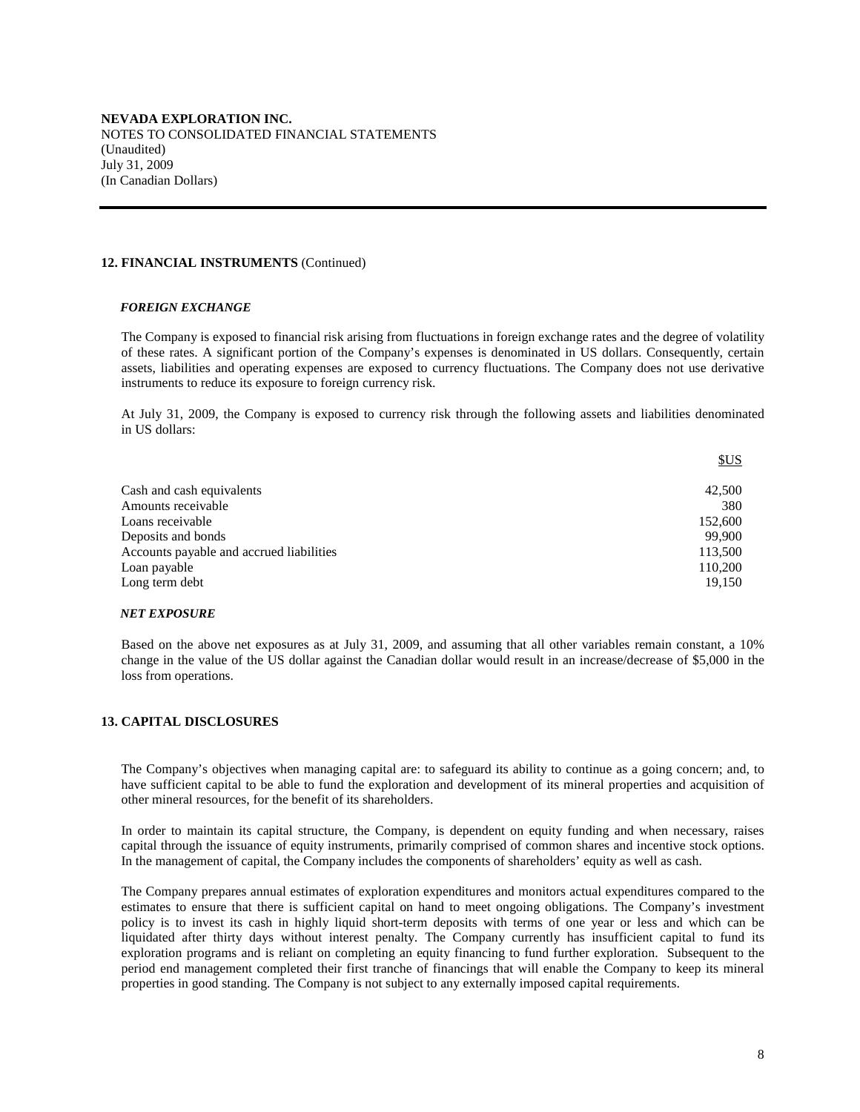#### **12. FINANCIAL INSTRUMENTS** (Continued)

#### *FOREIGN EXCHANGE*

The Company is exposed to financial risk arising from fluctuations in foreign exchange rates and the degree of volatility of these rates. A significant portion of the Company's expenses is denominated in US dollars. Consequently, certain assets, liabilities and operating expenses are exposed to currency fluctuations. The Company does not use derivative instruments to reduce its exposure to foreign currency risk.

At July 31, 2009, the Company is exposed to currency risk through the following assets and liabilities denominated in US dollars:

|                                          | <b>SUS</b> |
|------------------------------------------|------------|
| Cash and cash equivalents                | 42,500     |
| Amounts receivable                       | 380        |
| Loans receivable                         | 152,600    |
| Deposits and bonds                       | 99.900     |
| Accounts payable and accrued liabilities | 113,500    |
| Loan payable                             | 110,200    |
| Long term debt                           | 19.150     |

#### *NET EXPOSURE*

Based on the above net exposures as at July 31, 2009, and assuming that all other variables remain constant, a 10% change in the value of the US dollar against the Canadian dollar would result in an increase/decrease of \$5,000 in the loss from operations.

#### **13. CAPITAL DISCLOSURES**

The Company's objectives when managing capital are: to safeguard its ability to continue as a going concern; and, to have sufficient capital to be able to fund the exploration and development of its mineral properties and acquisition of other mineral resources, for the benefit of its shareholders.

In order to maintain its capital structure, the Company, is dependent on equity funding and when necessary, raises capital through the issuance of equity instruments, primarily comprised of common shares and incentive stock options. In the management of capital, the Company includes the components of shareholders' equity as well as cash.

The Company prepares annual estimates of exploration expenditures and monitors actual expenditures compared to the estimates to ensure that there is sufficient capital on hand to meet ongoing obligations. The Company's investment policy is to invest its cash in highly liquid short-term deposits with terms of one year or less and which can be liquidated after thirty days without interest penalty. The Company currently has insufficient capital to fund its exploration programs and is reliant on completing an equity financing to fund further exploration. Subsequent to the period end management completed their first tranche of financings that will enable the Company to keep its mineral properties in good standing. The Company is not subject to any externally imposed capital requirements.